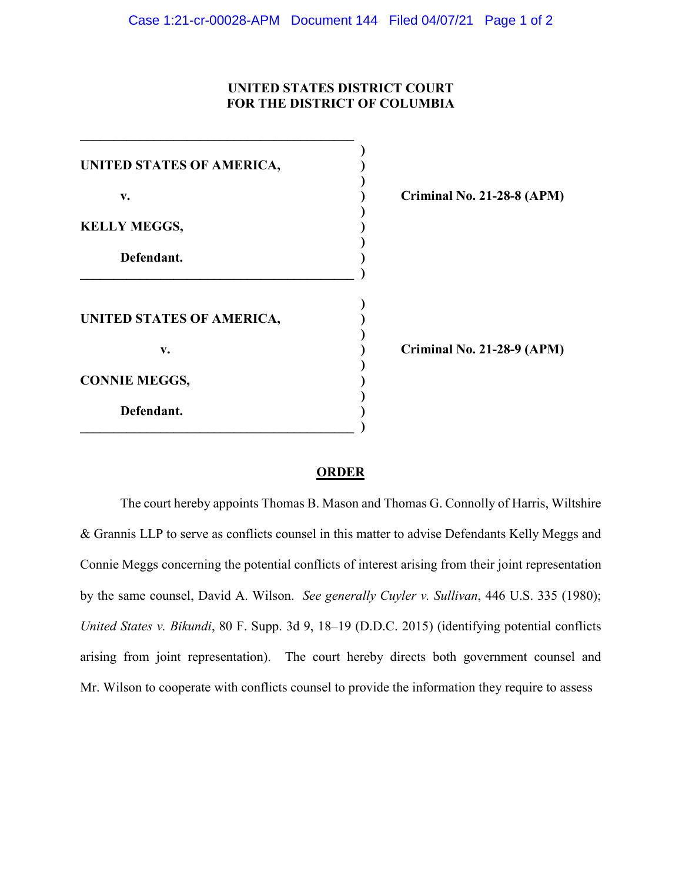## **UNITED STATES DISTRICT COURT FOR THE DISTRICT OF COLUMBIA**

| UNITED STATES OF AMERICA, |         |
|---------------------------|---------|
| v.                        | Crimina |
| <b>KELLY MEGGS,</b>       |         |
| Defendant.                |         |
| UNITED STATES OF AMERICA, |         |
| v.                        | Crimina |
| <b>CONNIE MEGGS,</b>      |         |
| Defendant.                |         |

**v. ) Criminal No. 21-28-8 (APM)**

**v. ) Criminal No. 21-28-9 (APM)**

## **ORDER**

The court hereby appoints Thomas B. Mason and Thomas G. Connolly of Harris, Wiltshire & Grannis LLP to serve as conflicts counsel in this matter to advise Defendants Kelly Meggs and Connie Meggs concerning the potential conflicts of interest arising from their joint representation by the same counsel, David A. Wilson. *See generally Cuyler v. Sullivan*, 446 U.S. 335 (1980); *United States v. Bikundi*, 80 F. Supp. 3d 9, 18–19 (D.D.C. 2015) (identifying potential conflicts arising from joint representation). The court hereby directs both government counsel and Mr. Wilson to cooperate with conflicts counsel to provide the information they require to assess